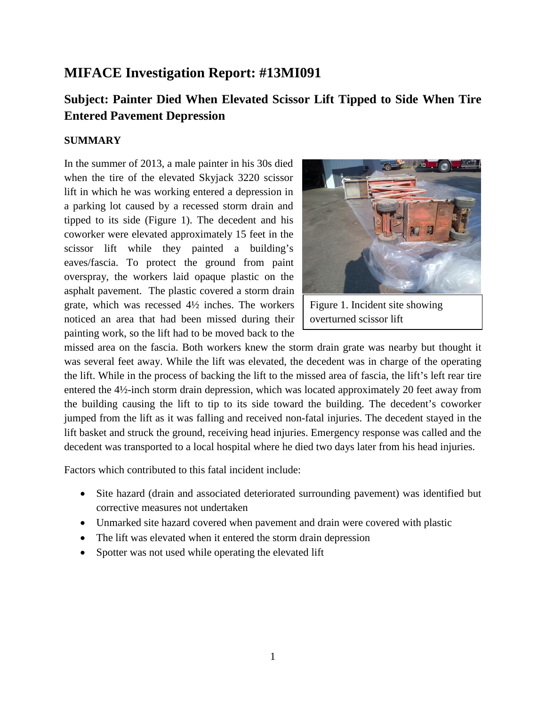# **MIFACE Investigation Report: #13MI091**

# **Subject: Painter Died When Elevated Scissor Lift Tipped to Side When Tire Entered Pavement Depression**

### **SUMMARY**

In the summer of 2013, a male painter in his 30s died when the tire of the elevated Skyjack 3220 scissor lift in which he was working entered a depression in a parking lot caused by a recessed storm drain and tipped to its side (Figure 1). The decedent and his coworker were elevated approximately 15 feet in the scissor lift while they painted a building's eaves/fascia. To protect the ground from paint overspray, the workers laid opaque plastic on the asphalt pavement. The plastic covered a storm drain grate, which was recessed 4½ inches. The workers noticed an area that had been missed during their painting work, so the lift had to be moved back to the



Figure 1. Incident site showing overturned scissor lift

missed area on the fascia. Both workers knew the storm drain grate was nearby but thought it was several feet away. While the lift was elevated, the decedent was in charge of the operating the lift. While in the process of backing the lift to the missed area of fascia, the lift's left rear tire entered the 4½-inch storm drain depression, which was located approximately 20 feet away from the building causing the lift to tip to its side toward the building. The decedent's coworker jumped from the lift as it was falling and received non-fatal injuries. The decedent stayed in the lift basket and struck the ground, receiving head injuries. Emergency response was called and the decedent was transported to a local hospital where he died two days later from his head injuries.

Factors which contributed to this fatal incident include:

- Site hazard (drain and associated deteriorated surrounding pavement) was identified but corrective measures not undertaken
- Unmarked site hazard covered when pavement and drain were covered with plastic
- The lift was elevated when it entered the storm drain depression
- Spotter was not used while operating the elevated lift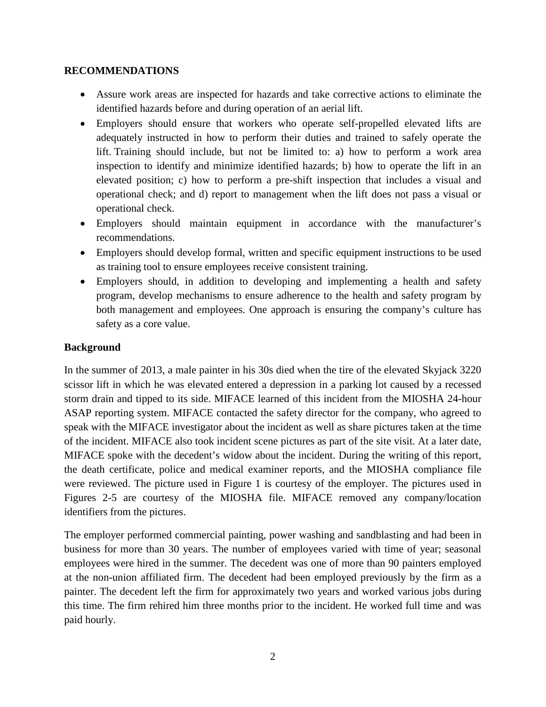### **RECOMMENDATIONS**

- Assure work areas are inspected for hazards and take corrective actions to eliminate the identified hazards before and during operation of an aerial lift.
- Employers should ensure that workers who operate self-propelled elevated lifts are adequately instructed in how to perform their duties and trained to safely operate the lift. Training should include, but not be limited to: a) how to perform a work area inspection to identify and minimize identified hazards; b) how to operate the lift in an elevated position; c) how to perform a pre-shift inspection that includes a visual and operational check; and d) report to management when the lift does not pass a visual or operational check.
- Employers should maintain equipment in accordance with the manufacturer's recommendations.
- Employers should develop formal, written and specific equipment instructions to be used as training tool to ensure employees receive consistent training.
- Employers should, in addition to developing and implementing a health and safety program, develop mechanisms to ensure adherence to the health and safety program by both management and employees. One approach is ensuring the company's culture has safety as a core value.

### **Background**

In the summer of 2013, a male painter in his 30s died when the tire of the elevated Skyjack 3220 scissor lift in which he was elevated entered a depression in a parking lot caused by a recessed storm drain and tipped to its side. MIFACE learned of this incident from the MIOSHA 24-hour ASAP reporting system. MIFACE contacted the safety director for the company, who agreed to speak with the MIFACE investigator about the incident as well as share pictures taken at the time of the incident. MIFACE also took incident scene pictures as part of the site visit. At a later date, MIFACE spoke with the decedent's widow about the incident. During the writing of this report, the death certificate, police and medical examiner reports, and the MIOSHA compliance file were reviewed. The picture used in Figure 1 is courtesy of the employer. The pictures used in Figures 2-5 are courtesy of the MIOSHA file. MIFACE removed any company/location identifiers from the pictures.

The employer performed commercial painting, power washing and sandblasting and had been in business for more than 30 years. The number of employees varied with time of year; seasonal employees were hired in the summer. The decedent was one of more than 90 painters employed at the non-union affiliated firm. The decedent had been employed previously by the firm as a painter. The decedent left the firm for approximately two years and worked various jobs during this time. The firm rehired him three months prior to the incident. He worked full time and was paid hourly.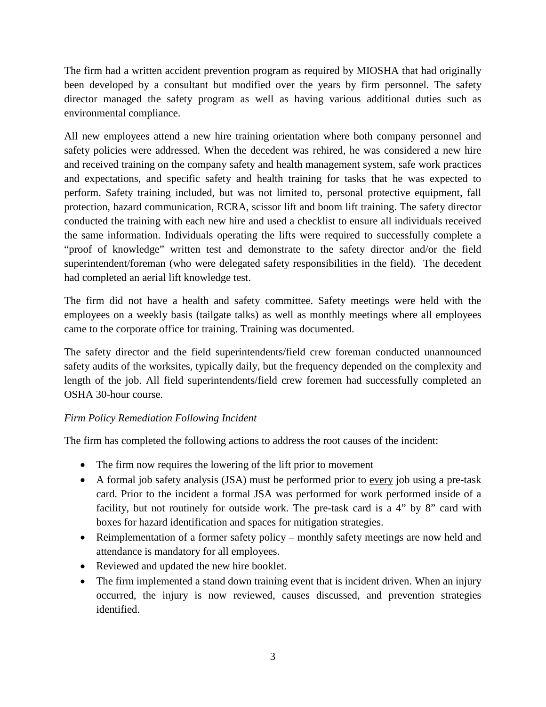The firm had a written accident prevention program as required by MIOSHA that had originally been developed by a consultant but modified over the years by firm personnel. The safety director managed the safety program as well as having various additional duties such as environmental compliance.

All new employees attend a new hire training orientation where both company personnel and safety policies were addressed. When the decedent was rehired, he was considered a new hire and received training on the company safety and health management system, safe work practices and expectations, and specific safety and health training for tasks that he was expected to perform. Safety training included, but was not limited to, personal protective equipment, fall protection, hazard communication, RCRA, scissor lift and boom lift training. The safety director conducted the training with each new hire and used a checklist to ensure all individuals received the same information. Individuals operating the lifts were required to successfully complete a "proof of knowledge" written test and demonstrate to the safety director and/or the field superintendent/foreman (who were delegated safety responsibilities in the field). The decedent had completed an aerial lift knowledge test.

The firm did not have a health and safety committee. Safety meetings were held with the employees on a weekly basis (tailgate talks) as well as monthly meetings where all employees came to the corporate office for training. Training was documented.

The safety director and the field superintendents/field crew foreman conducted unannounced safety audits of the worksites, typically daily, but the frequency depended on the complexity and length of the job. All field superintendents/field crew foremen had successfully completed an OSHA 30-hour course.

## *Firm Policy Remediation Following Incident*

The firm has completed the following actions to address the root causes of the incident:

- The firm now requires the lowering of the lift prior to movement
- A formal job safety analysis (JSA) must be performed prior to every job using a pre-task card. Prior to the incident a formal JSA was performed for work performed inside of a facility, but not routinely for outside work. The pre-task card is a 4" by 8" card with boxes for hazard identification and spaces for mitigation strategies.
- Reimplementation of a former safety policy monthly safety meetings are now held and attendance is mandatory for all employees.
- Reviewed and updated the new hire booklet.
- The firm implemented a stand down training event that is incident driven. When an injury occurred, the injury is now reviewed, causes discussed, and prevention strategies identified.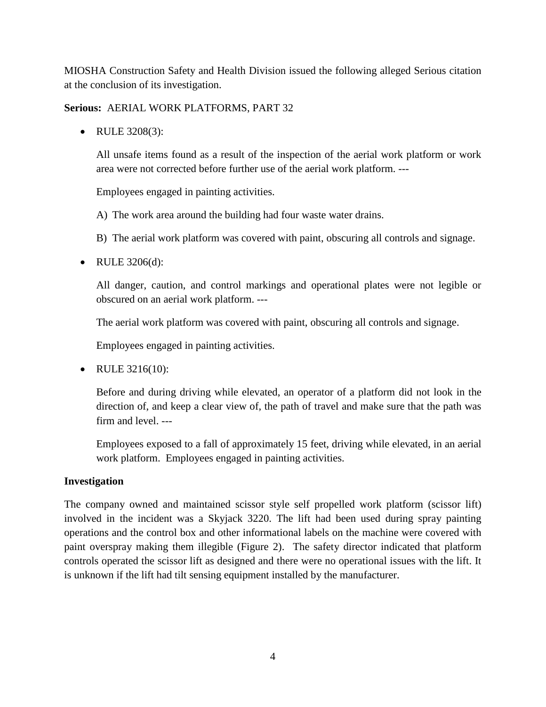MIOSHA Construction Safety and Health Division issued the following alleged Serious citation at the conclusion of its investigation.

**Serious:** AERIAL WORK PLATFORMS, PART 32

• RULE 3208(3):

All unsafe items found as a result of the inspection of the aerial work platform or work area were not corrected before further use of the aerial work platform. ---

Employees engaged in painting activities.

- A) The work area around the building had four waste water drains.
- B) The aerial work platform was covered with paint, obscuring all controls and signage.
- RULE 3206(d):

All danger, caution, and control markings and operational plates were not legible or obscured on an aerial work platform. ---

The aerial work platform was covered with paint, obscuring all controls and signage.

Employees engaged in painting activities.

• RULE 3216(10):

Before and during driving while elevated, an operator of a platform did not look in the direction of, and keep a clear view of, the path of travel and make sure that the path was firm and level. ---

Employees exposed to a fall of approximately 15 feet, driving while elevated, in an aerial work platform. Employees engaged in painting activities.

### **Investigation**

The company owned and maintained scissor style self propelled work platform (scissor lift) involved in the incident was a Skyjack 3220. The lift had been used during spray painting operations and the control box and other informational labels on the machine were covered with paint overspray making them illegible (Figure 2). The safety director indicated that platform controls operated the scissor lift as designed and there were no operational issues with the lift. It is unknown if the lift had tilt sensing equipment installed by the manufacturer.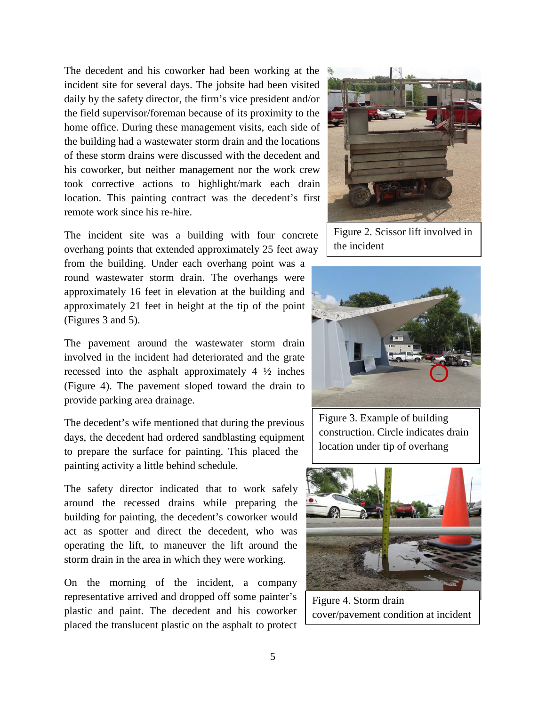The decedent and his coworker had been working at the incident site for several days. The jobsite had been visited daily by the safety director, the firm's vice president and/or the field supervisor/foreman because of its proximity to the home office. During these management visits, each side of the building had a wastewater storm drain and the locations of these storm drains were discussed with the decedent and his coworker, but neither management nor the work crew took corrective actions to highlight/mark each drain location. This painting contract was the decedent's first remote work since his re-hire.

The incident site was a building with four concrete overhang points that extended approximately 25 feet away

from the building. Under each overhang point was a round wastewater storm drain. The overhangs were approximately 16 feet in elevation at the building and approximately 21 feet in height at the tip of the point (Figures 3 and 5).

The pavement around the wastewater storm drain involved in the incident had deteriorated and the grate recessed into the asphalt approximately 4 ½ inches (Figure 4). The pavement sloped toward the drain to provide parking area drainage.

The decedent's wife mentioned that during the previous days, the decedent had ordered sandblasting equipment to prepare the surface for painting. This placed the painting activity a little behind schedule.

The safety director indicated that to work safely around the recessed drains while preparing the building for painting, the decedent's coworker would act as spotter and direct the decedent, who was operating the lift, to maneuver the lift around the storm drain in the area in which they were working.

On the morning of the incident, a company representative arrived and dropped off some painter's plastic and paint. The decedent and his coworker placed the translucent plastic on the asphalt to protect



Figure 2. Scissor lift involved in the incident



Figure 3. Example of building construction. Circle indicates drain location under tip of overhang



Figure 4. Storm drain cover/pavement condition at incident

site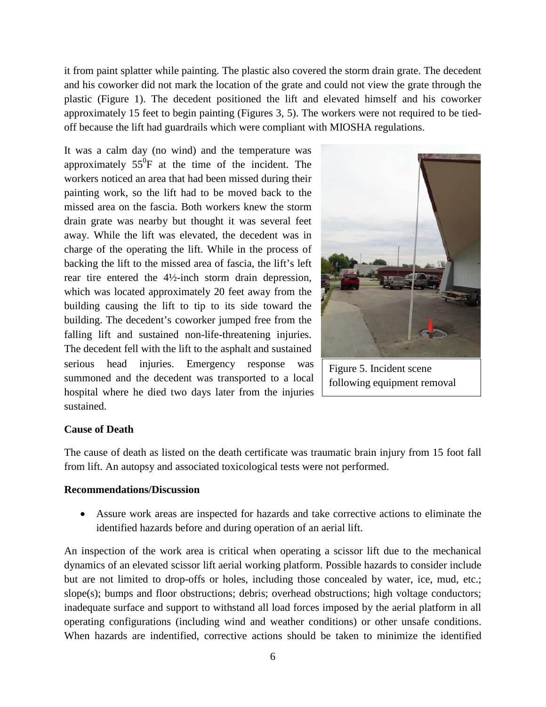it from paint splatter while painting. The plastic also covered the storm drain grate. The decedent and his coworker did not mark the location of the grate and could not view the grate through the plastic (Figure 1). The decedent positioned the lift and elevated himself and his coworker approximately 15 feet to begin painting (Figures 3, 5). The workers were not required to be tiedoff because the lift had guardrails which were compliant with MIOSHA regulations.

It was a calm day (no wind) and the temperature was approximately  $55^{\circ}$ F at the time of the incident. The workers noticed an area that had been missed during their painting work, so the lift had to be moved back to the missed area on the fascia. Both workers knew the storm drain grate was nearby but thought it was several feet away. While the lift was elevated, the decedent was in charge of the operating the lift. While in the process of backing the lift to the missed area of fascia, the lift's left rear tire entered the 4½-inch storm drain depression, which was located approximately 20 feet away from the building causing the lift to tip to its side toward the building. The decedent's coworker jumped free from the falling lift and sustained non-life-threatening injuries. The decedent fell with the lift to the asphalt and sustained serious head injuries. Emergency response was summoned and the decedent was transported to a local hospital where he died two days later from the injuries sustained.



Figure 5. Incident scene following equipment removal

#### **Cause of Death**

The cause of death as listed on the death certificate was traumatic brain injury from 15 foot fall from lift. An autopsy and associated toxicological tests were not performed.

#### **Recommendations/Discussion**

• Assure work areas are inspected for hazards and take corrective actions to eliminate the identified hazards before and during operation of an aerial lift.

An inspection of the work area is critical when operating a scissor lift due to the mechanical dynamics of an elevated scissor lift aerial working platform. Possible hazards to consider include but are not limited to drop-offs or holes, including those concealed by water, ice, mud, etc.; slope(s); bumps and floor obstructions; debris; overhead obstructions; high voltage conductors; inadequate surface and support to withstand all load forces imposed by the aerial platform in all operating configurations (including wind and weather conditions) or other unsafe conditions. When hazards are indentified, corrective actions should be taken to minimize the identified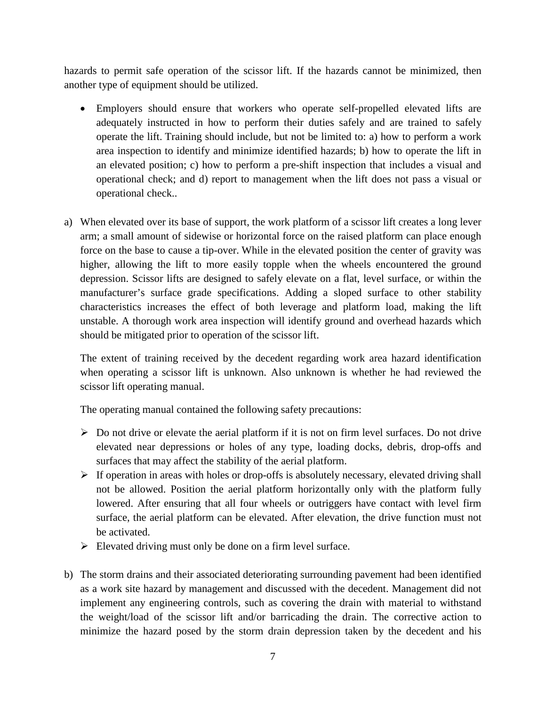hazards to permit safe operation of the scissor lift. If the hazards cannot be minimized, then another type of equipment should be utilized.

- Employers should ensure that workers who operate self-propelled elevated lifts are adequately instructed in how to perform their duties safely and are trained to safely operate the lift. Training should include, but not be limited to: a) how to perform a work area inspection to identify and minimize identified hazards; b) how to operate the lift in an elevated position; c) how to perform a pre-shift inspection that includes a visual and operational check; and d) report to management when the lift does not pass a visual or operational check..
- a) When elevated over its base of support, the work platform of a scissor lift creates a long lever arm; a small amount of sidewise or horizontal force on the raised platform can place enough force on the base to cause a tip-over. While in the elevated position the center of gravity was higher, allowing the lift to more easily topple when the wheels encountered the ground depression. Scissor lifts are designed to safely elevate on a flat, level surface, or within the manufacturer's surface grade specifications. Adding a sloped surface to other stability characteristics increases the effect of both leverage and platform load, making the lift unstable. A thorough work area inspection will identify ground and overhead hazards which should be mitigated prior to operation of the scissor lift.

The extent of training received by the decedent regarding work area hazard identification when operating a scissor lift is unknown. Also unknown is whether he had reviewed the scissor lift operating manual.

The operating manual contained the following safety precautions:

- $\triangleright$  Do not drive or elevate the aerial platform if it is not on firm level surfaces. Do not drive elevated near depressions or holes of any type, loading docks, debris, drop-offs and surfaces that may affect the stability of the aerial platform.
- $\triangleright$  If operation in areas with holes or drop-offs is absolutely necessary, elevated driving shall not be allowed. Position the aerial platform horizontally only with the platform fully lowered. After ensuring that all four wheels or outriggers have contact with level firm surface, the aerial platform can be elevated. After elevation, the drive function must not be activated.
- $\triangleright$  Elevated driving must only be done on a firm level surface.
- b) The storm drains and their associated deteriorating surrounding pavement had been identified as a work site hazard by management and discussed with the decedent. Management did not implement any engineering controls, such as covering the drain with material to withstand the weight/load of the scissor lift and/or barricading the drain. The corrective action to minimize the hazard posed by the storm drain depression taken by the decedent and his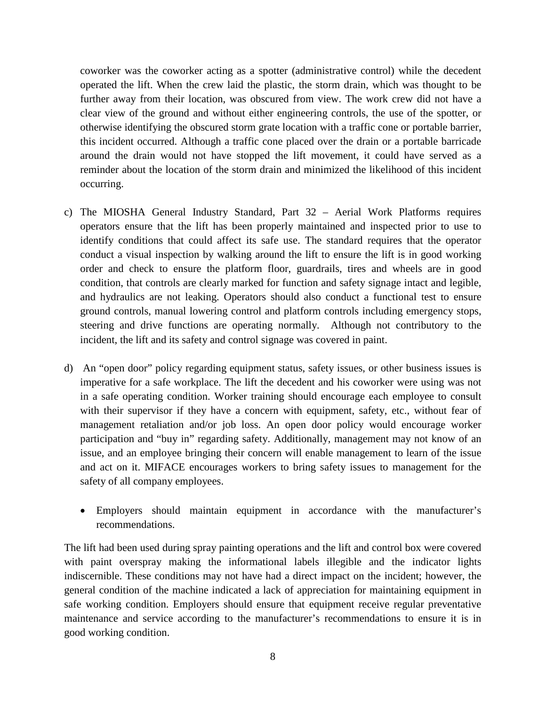coworker was the coworker acting as a spotter (administrative control) while the decedent operated the lift. When the crew laid the plastic, the storm drain, which was thought to be further away from their location, was obscured from view. The work crew did not have a clear view of the ground and without either engineering controls, the use of the spotter, or otherwise identifying the obscured storm grate location with a traffic cone or portable barrier, this incident occurred. Although a traffic cone placed over the drain or a portable barricade around the drain would not have stopped the lift movement, it could have served as a reminder about the location of the storm drain and minimized the likelihood of this incident occurring.

- c) The MIOSHA General Industry Standard, Part 32 Aerial Work Platforms requires operators ensure that the lift has been properly maintained and inspected prior to use to identify conditions that could affect its safe use. The standard requires that the operator conduct a visual inspection by walking around the lift to ensure the lift is in good working order and check to ensure the platform floor, guardrails, tires and wheels are in good condition, that controls are clearly marked for function and safety signage intact and legible, and hydraulics are not leaking. Operators should also conduct a functional test to ensure ground controls, manual lowering control and platform controls including emergency stops, steering and drive functions are operating normally. Although not contributory to the incident, the lift and its safety and control signage was covered in paint.
- d) An "open door" policy regarding equipment status, safety issues, or other business issues is imperative for a safe workplace. The lift the decedent and his coworker were using was not in a safe operating condition. Worker training should encourage each employee to consult with their supervisor if they have a concern with equipment, safety, etc., without fear of management retaliation and/or job loss. An open door policy would encourage worker participation and "buy in" regarding safety. Additionally, management may not know of an issue, and an employee bringing their concern will enable management to learn of the issue and act on it. MIFACE encourages workers to bring safety issues to management for the safety of all company employees.
	- Employers should maintain equipment in accordance with the manufacturer's recommendations.

The lift had been used during spray painting operations and the lift and control box were covered with paint overspray making the informational labels illegible and the indicator lights indiscernible. These conditions may not have had a direct impact on the incident; however, the general condition of the machine indicated a lack of appreciation for maintaining equipment in safe working condition. Employers should ensure that equipment receive regular preventative maintenance and service according to the manufacturer's recommendations to ensure it is in good working condition.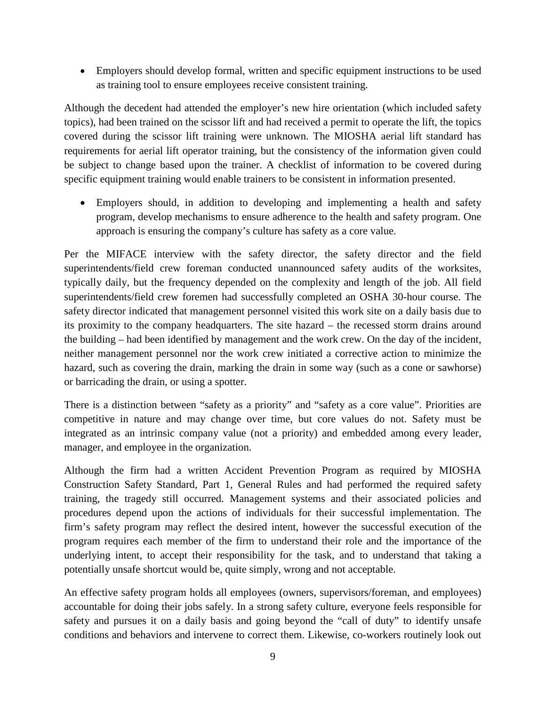• Employers should develop formal, written and specific equipment instructions to be used as training tool to ensure employees receive consistent training.

Although the decedent had attended the employer's new hire orientation (which included safety topics), had been trained on the scissor lift and had received a permit to operate the lift, the topics covered during the scissor lift training were unknown. The MIOSHA aerial lift standard has requirements for aerial lift operator training, but the consistency of the information given could be subject to change based upon the trainer. A checklist of information to be covered during specific equipment training would enable trainers to be consistent in information presented.

• Employers should, in addition to developing and implementing a health and safety program, develop mechanisms to ensure adherence to the health and safety program. One approach is ensuring the company's culture has safety as a core value.

Per the MIFACE interview with the safety director, the safety director and the field superintendents/field crew foreman conducted unannounced safety audits of the worksites, typically daily, but the frequency depended on the complexity and length of the job. All field superintendents/field crew foremen had successfully completed an OSHA 30-hour course. The safety director indicated that management personnel visited this work site on a daily basis due to its proximity to the company headquarters. The site hazard – the recessed storm drains around the building – had been identified by management and the work crew. On the day of the incident, neither management personnel nor the work crew initiated a corrective action to minimize the hazard, such as covering the drain, marking the drain in some way (such as a cone or sawhorse) or barricading the drain, or using a spotter.

There is a distinction between "safety as a priority" and "safety as a core value". Priorities are competitive in nature and may change over time, but core values do not. Safety must be integrated as an intrinsic company value (not a priority) and embedded among every leader, manager, and employee in the organization.

Although the firm had a written Accident Prevention Program as required by MIOSHA Construction Safety Standard, Part 1, General Rules and had performed the required safety training, the tragedy still occurred. Management systems and their associated policies and procedures depend upon the actions of individuals for their successful implementation. The firm's safety program may reflect the desired intent, however the successful execution of the program requires each member of the firm to understand their role and the importance of the underlying intent, to accept their responsibility for the task, and to understand that taking a potentially unsafe shortcut would be, quite simply, wrong and not acceptable.

An effective safety program holds all employees (owners, supervisors/foreman, and employees) accountable for doing their jobs safely. In a strong safety culture, everyone feels responsible for safety and pursues it on a daily basis and going beyond the "call of duty" to identify unsafe conditions and behaviors and intervene to correct them. Likewise, co-workers routinely look out